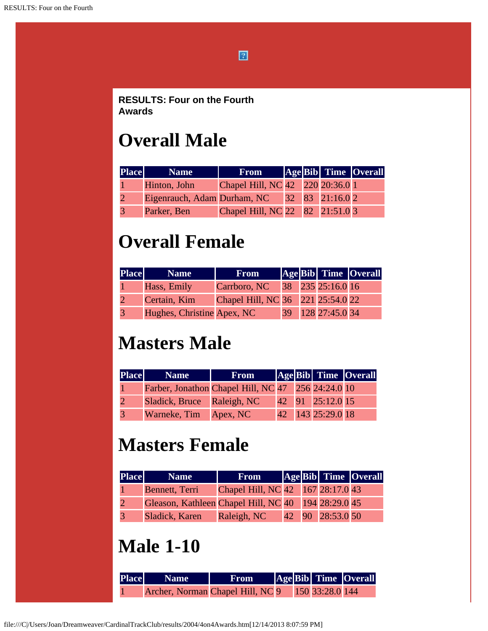$\boxed{2}$ 

**RESULTS: Four on the Fourth Awards**

#### **Overall Male**

| <b>Place</b> | <b>Name</b>                                 | <b>From</b>                      |  | Age Bib Time Overall |  |
|--------------|---------------------------------------------|----------------------------------|--|----------------------|--|
|              | Hinton, John                                | Chapel Hill, NC 42 220 20:36.0 1 |  |                      |  |
|              | Eigenrauch, Adam Durham, NC 32 83 21:16.0 2 |                                  |  |                      |  |
|              | Parker, Ben                                 | Chapel Hill, NC 22 82 21:51.0 3  |  |                      |  |

#### **Overall Female**

| <b>Place</b> | <b>Name</b>                | <b>From</b>                       |  |                   | Age Bib Time Overall |
|--------------|----------------------------|-----------------------------------|--|-------------------|----------------------|
|              | Hass, Emily                | Carrboro, NC                      |  | 38 235 25:16.0 16 |                      |
|              | Certain, Kim               | Chapel Hill, NC 36 221 25:54.0 22 |  |                   |                      |
|              | Hughes, Christine Apex, NC |                                   |  | 39 128 27:45.0 34 |                      |

### **Masters Male**

| <b>Place</b> | <b>Name</b>                                        | <b>From</b> |  |                      | <b>Age Bib Time Overall</b> |
|--------------|----------------------------------------------------|-------------|--|----------------------|-----------------------------|
|              | Farber, Jonathon Chapel Hill, NC 47 256 24:24.0 10 |             |  |                      |                             |
|              | Sladick, Bruce Raleigh, NC                         |             |  | $ 42 $ 91 25:12.0 15 |                             |
|              | Warneke, Tim Apex, NC                              |             |  | 42 143 25:29.0 18    |                             |

### **Masters Female**

| <b>Place</b> | <b>Name</b>                                         | <b>From</b>                       |  |                  | <b>Age Bib</b> Time Overall |
|--------------|-----------------------------------------------------|-----------------------------------|--|------------------|-----------------------------|
|              | Bennett, Terri                                      | Chapel Hill, NC 42 167 28:17.0 43 |  |                  |                             |
|              | Gleason, Kathleen Chapel Hill, NC 40 194 28:29.0 45 |                                   |  |                  |                             |
|              | Sladick, Karen                                      | Raleigh, NC                       |  | 42 90 28:53.0 50 |                             |

### **Male 1-10**

| <b>Place Same</b>                | <b>From</b> |  |                 | AgeBib Time Overall |
|----------------------------------|-------------|--|-----------------|---------------------|
| Archer, Norman Chapel Hill, NC 9 |             |  | 150 33:28.0 144 |                     |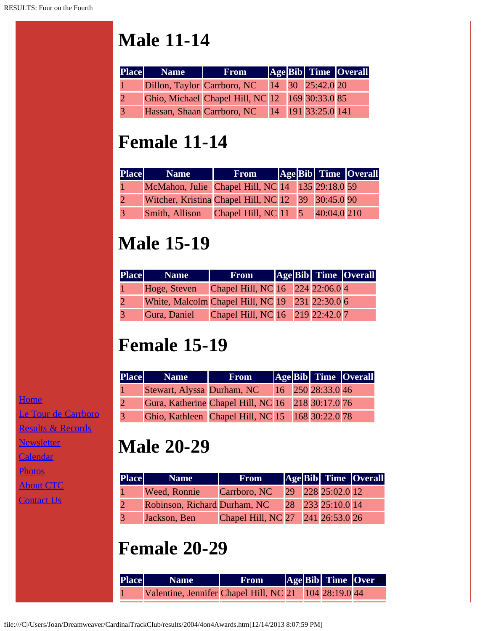# **Male 11-14**

| <b>Place</b> Name | <b>From</b>                                     |  | <b>Age Bib</b> Time Overall |
|-------------------|-------------------------------------------------|--|-----------------------------|
|                   | Dillon, Taylor Carrboro, NC 14 30 25:42.0 20    |  |                             |
|                   | Ghio, Michael Chapel Hill, NC 12 169 30:33.0 85 |  |                             |
|                   | Hassan, Shaan Carrboro, NC 14 191 33:25.0 141   |  |                             |

## **Female 11-14**

| <b>Place</b> | <b>Name</b>                                            | <b>From</b> |  | AgeBib Time Overall |
|--------------|--------------------------------------------------------|-------------|--|---------------------|
|              | McMahon, Julie Chapel Hill, NC 14 135 29:18.0 59       |             |  |                     |
|              | Witcher, Kristina Chapel Hill, NC 12 39 30:45.0 90     |             |  |                     |
|              | <b>Smith, Allison</b> Chapel Hill, NC 11 5 40:04.0 210 |             |  |                     |

### **Male 15-19**

| <b>Place</b> | <b>Name</b>                                     | <b>From</b>                      |  | AgeBib Time Overall |
|--------------|-------------------------------------------------|----------------------------------|--|---------------------|
|              | Hoge, Steven                                    | Chapel Hill, NC 16 224 22:06.0 4 |  |                     |
|              | White, Malcolm Chapel Hill, NC 19 231 22:30.0 6 |                                  |  |                     |
| 3            | Gura, Daniel Chapel Hill, NC 16 219 22:42.0 7   |                                  |  |                     |

# **Female 15-19**

| <b>Place</b> | <b>Name</b>                | <b>From</b>                                       |  |                   | Age Bib Time Overall |
|--------------|----------------------------|---------------------------------------------------|--|-------------------|----------------------|
|              | Stewart, Alyssa Durham, NC |                                                   |  | 16 250 28:33.0 46 |                      |
|              |                            | Gura, Katherine Chapel Hill, NC 16 218 30:17.0 76 |  |                   |                      |
|              |                            | Ghio, Kathleen Chapel Hill, NC 15 168 30:22.0 78  |  |                   |                      |

# **Male 20-29**

| <b>Place</b> | <b>Name</b>                  | <b>From</b>                       |  |                   | AgeBib Time Overall |
|--------------|------------------------------|-----------------------------------|--|-------------------|---------------------|
|              | Weed, Ronnie                 | Carrboro, NC                      |  | 29 228 25:02.0 12 |                     |
|              | Robinson, Richard Durham, NC |                                   |  | 28 233 25:10.0 14 |                     |
|              | Jackson, Ben                 | Chapel Hill, NC 27 241 26:53.0 26 |  |                   |                     |

# **Female 20-29**

| <b>Place</b> | Name                                                    | <b>From</b> |  | AgeBib Time Over |  |
|--------------|---------------------------------------------------------|-------------|--|------------------|--|
|              | Valentine, Jennifer Chapel Hill, NC 21   104 28:19.0 44 |             |  |                  |  |

[Le Tour de Carrboro](file:///letourdecarrboro.html) [Results & Records](file:///results.html)

[Newsletter](file:///newsletterSignup.html)

[Calendar](file:///page/page/8345191.htm)

**[Home](file:///home.html)** 

[Photos](file:///photos.html)

**[About CTC](file:///about.html)** 

[Contact Us](file:///contactUs.html)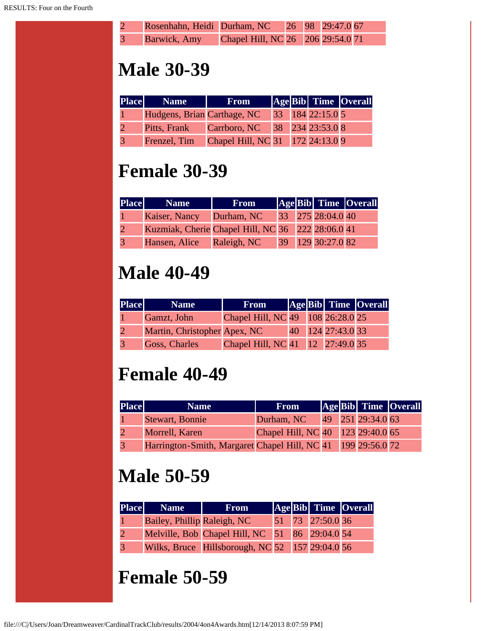| $\mathcal{L}$  | Rosenhahn, Heidi Durham, NC 26 98 29:47.0 67 |                                   |  |  |
|----------------|----------------------------------------------|-----------------------------------|--|--|
| $\overline{3}$ | Barwick, Amy                                 | Chapel Hill, NC 26 206 29:54.0 71 |  |  |

### **Male 30-39**

| Place Name                  | <b>From</b>                      |  |                  | <b>Age Bib Time Overall</b> |
|-----------------------------|----------------------------------|--|------------------|-----------------------------|
| Hudgens, Brian Carthage, NC |                                  |  | 33 184 22:15.0 5 |                             |
| Pitts, Frank                | Carrboro, NC                     |  | 38 234 23:53.0 8 |                             |
| Frenzel, Tim                | Chapel Hill, NC 31 172 24:13.0 9 |  |                  |                             |

### **Female 30-39**

| <b>Place</b> | <b>Name</b>                                       | <b>From</b> |  |                   | Age Bib Time Overall |
|--------------|---------------------------------------------------|-------------|--|-------------------|----------------------|
|              | Kaiser, Nancy                                     | Durham, NC  |  | 33 275 28:04.0 40 |                      |
|              | Kuzmiak, Cherie Chapel Hill, NC 36 222 28:06.0 41 |             |  |                   |                      |
|              | Hansen, Alice Raleigh, NC                         |             |  | 39 129 30:27.0 82 |                      |

### **Male 40-49**

| <b>Place</b> | <b>Name</b>                  | <b>From</b>                       |  |                   | <b>Age Bib</b> Time Overall |
|--------------|------------------------------|-----------------------------------|--|-------------------|-----------------------------|
|              | Gamzt, John                  | Chapel Hill, NC 49 108 26:28.0 25 |  |                   |                             |
|              | Martin, Christopher Apex, NC |                                   |  | 40 124 27:43.0 33 |                             |
|              | <b>Goss, Charles</b>         | Chapel Hill, NC 41 12 27:49.0 35  |  |                   |                             |

### **Female 40-49**

| <b>Place</b> | <b>Name</b>                                                  | <b>From</b>                       |  |                   | Age Bib Time Overall |
|--------------|--------------------------------------------------------------|-----------------------------------|--|-------------------|----------------------|
|              | Stewart, Bonnie                                              | Durham, NC                        |  | 49 251 29:34.0 63 |                      |
|              | Morrell, Karen                                               | Chapel Hill, NC 40 123 29:40.0 65 |  |                   |                      |
|              | Harrington-Smith, Margaret Chapel Hill, NC 41 199 29:56.0 72 |                                   |  |                   |                      |

### **Male 50-59**

| <b>Place</b> Name           | <b>From</b>                                     |  |                  | Age Bib Time Overall |
|-----------------------------|-------------------------------------------------|--|------------------|----------------------|
| Bailey, Phillip Raleigh, NC |                                                 |  | 51 73 27:50.0 36 |                      |
|                             | Melville, Bob Chapel Hill, NC 51 86 29:04.0 54  |  |                  |                      |
|                             | Wilks, Bruce Hillsborough, NC 52 157 29:04.0 56 |  |                  |                      |

#### **Female 50-59**